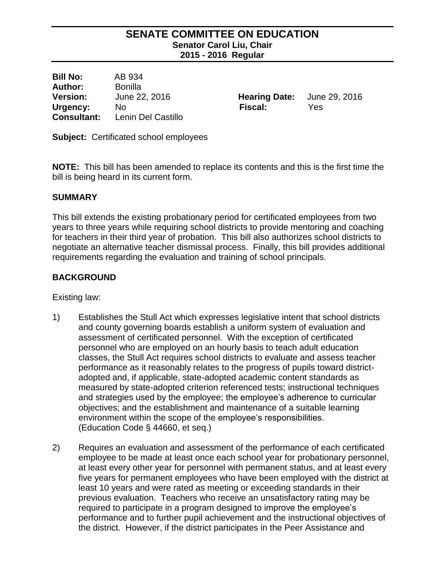## **SENATE COMMITTEE ON EDUCATION Senator Carol Liu, Chair 2015 - 2016 Regular**

**Bill No:** AB 934 **Author:** Bonilla **Version:** June 22, 2016 **Hearing Date:** June 29, 2016 **Urgency:** No **Fiscal:** Yes **Consultant:** Lenin Del Castillo

**Subject:** Certificated school employees

**NOTE:** This bill has been amended to replace its contents and this is the first time the bill is being heard in its current form.

### **SUMMARY**

This bill extends the existing probationary period for certificated employees from two years to three years while requiring school districts to provide mentoring and coaching for teachers in their third year of probation. This bill also authorizes school districts to negotiate an alternative teacher dismissal process. Finally, this bill provides additional requirements regarding the evaluation and training of school principals.

### **BACKGROUND**

Existing law:

- 1) Establishes the Stull Act which expresses legislative intent that school districts and county governing boards establish a uniform system of evaluation and assessment of certificated personnel. With the exception of certificated personnel who are employed on an hourly basis to teach adult education classes, the Stull Act requires school districts to evaluate and assess teacher performance as it reasonably relates to the progress of pupils toward districtadopted and, if applicable, state-adopted academic content standards as measured by state-adopted criterion referenced tests; instructional techniques and strategies used by the employee; the employee's adherence to curricular objectives; and the establishment and maintenance of a suitable learning environment within the scope of the employee's responsibilities. (Education Code § 44660, et seq.)
- 2) Requires an evaluation and assessment of the performance of each certificated employee to be made at least once each school year for probationary personnel, at least every other year for personnel with permanent status, and at least every five years for permanent employees who have been employed with the district at least 10 years and were rated as meeting or exceeding standards in their previous evaluation. Teachers who receive an unsatisfactory rating may be required to participate in a program designed to improve the employee's performance and to further pupil achievement and the instructional objectives of the district. However, if the district participates in the Peer Assistance and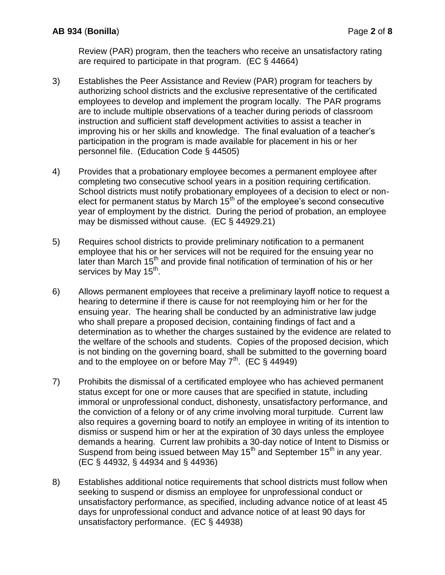Review (PAR) program, then the teachers who receive an unsatisfactory rating are required to participate in that program. (EC § 44664)

- 3) Establishes the Peer Assistance and Review (PAR) program for teachers by authorizing school districts and the exclusive representative of the certificated employees to develop and implement the program locally. The PAR programs are to include multiple observations of a teacher during periods of classroom instruction and sufficient staff development activities to assist a teacher in improving his or her skills and knowledge. The final evaluation of a teacher's participation in the program is made available for placement in his or her personnel file. (Education Code § 44505)
- 4) Provides that a probationary employee becomes a permanent employee after completing two consecutive school years in a position requiring certification. School districts must notify probationary employees of a decision to elect or nonelect for permanent status by March  $15<sup>th</sup>$  of the employee's second consecutive year of employment by the district. During the period of probation, an employee may be dismissed without cause. (EC § 44929.21)
- 5) Requires school districts to provide preliminary notification to a permanent employee that his or her services will not be required for the ensuing year no later than March 15<sup>th</sup> and provide final notification of termination of his or her services by May 15<sup>th</sup>.
- 6) Allows permanent employees that receive a preliminary layoff notice to request a hearing to determine if there is cause for not reemploying him or her for the ensuing year. The hearing shall be conducted by an administrative law judge who shall prepare a proposed decision, containing findings of fact and a determination as to whether the charges sustained by the evidence are related to the welfare of the schools and students. Copies of the proposed decision, which is not binding on the governing board, shall be submitted to the governing board and to the employee on or before May  $7<sup>th</sup>$ . (EC § 44949)
- 7) Prohibits the dismissal of a certificated employee who has achieved permanent status except for one or more causes that are specified in statute, including immoral or unprofessional conduct, dishonesty, unsatisfactory performance, and the conviction of a felony or of any crime involving moral turpitude. Current law also requires a governing board to notify an employee in writing of its intention to dismiss or suspend him or her at the expiration of 30 days unless the employee demands a hearing. Current law prohibits a 30-day notice of Intent to Dismiss or Suspend from being issued between May 15<sup>th</sup> and September 15<sup>th</sup> in any year. (EC § 44932, § 44934 and § 44936)
- 8) Establishes additional notice requirements that school districts must follow when seeking to suspend or dismiss an employee for unprofessional conduct or unsatisfactory performance, as specified, including advance notice of at least 45 days for unprofessional conduct and advance notice of at least 90 days for unsatisfactory performance. (EC § 44938)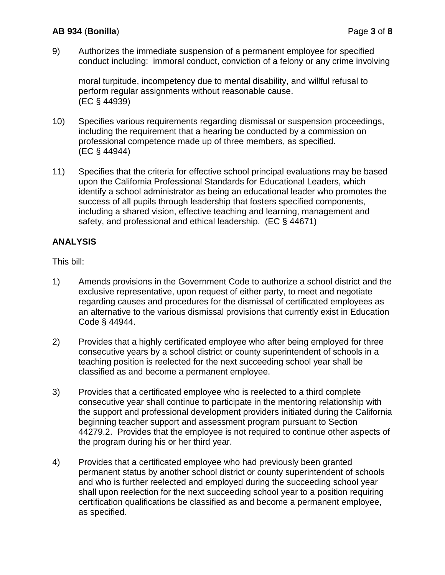9) Authorizes the immediate suspension of a permanent employee for specified conduct including: immoral conduct, conviction of a felony or any crime involving

moral turpitude, incompetency due to mental disability, and willful refusal to perform regular assignments without reasonable cause. (EC § 44939)

- 10) Specifies various requirements regarding dismissal or suspension proceedings, including the requirement that a hearing be conducted by a commission on professional competence made up of three members, as specified. (EC § 44944)
- 11) Specifies that the criteria for effective school principal evaluations may be based upon the California Professional Standards for Educational Leaders, which identify a school administrator as being an educational leader who promotes the success of all pupils through leadership that fosters specified components, including a shared vision, effective teaching and learning, management and safety, and professional and ethical leadership. (EC § 44671)

# **ANALYSIS**

This bill:

- 1) Amends provisions in the Government Code to authorize a school district and the exclusive representative, upon request of either party, to meet and negotiate regarding causes and procedures for the dismissal of certificated employees as an alternative to the various dismissal provisions that currently exist in Education Code § 44944.
- 2) Provides that a highly certificated employee who after being employed for three consecutive years by a school district or county superintendent of schools in a teaching position is reelected for the next succeeding school year shall be classified as and become a permanent employee.
- 3) Provides that a certificated employee who is reelected to a third complete consecutive year shall continue to participate in the mentoring relationship with the support and professional development providers initiated during the California beginning teacher support and assessment program pursuant to Section 44279.2. Provides that the employee is not required to continue other aspects of the program during his or her third year.
- 4) Provides that a certificated employee who had previously been granted permanent status by another school district or county superintendent of schools and who is further reelected and employed during the succeeding school year shall upon reelection for the next succeeding school year to a position requiring certification qualifications be classified as and become a permanent employee, as specified.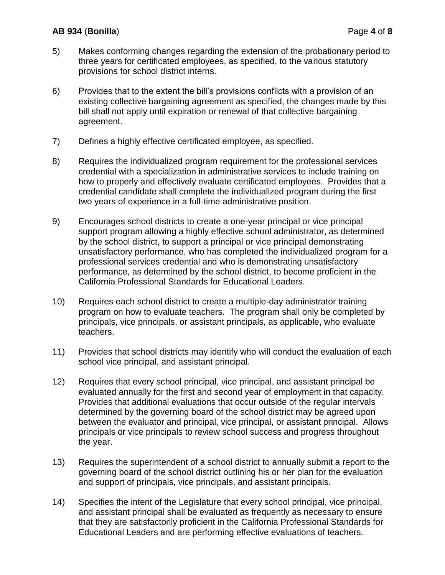# **AB 934** (**Bonilla**) Page **4** of **8**

- 5) Makes conforming changes regarding the extension of the probationary period to three years for certificated employees, as specified, to the various statutory provisions for school district interns.
- 6) Provides that to the extent the bill's provisions conflicts with a provision of an existing collective bargaining agreement as specified, the changes made by this bill shall not apply until expiration or renewal of that collective bargaining agreement.
- 7) Defines a highly effective certificated employee, as specified.
- 8) Requires the individualized program requirement for the professional services credential with a specialization in administrative services to include training on how to properly and effectively evaluate certificated employees. Provides that a credential candidate shall complete the individualized program during the first two years of experience in a full-time administrative position.
- 9) Encourages school districts to create a one-year principal or vice principal support program allowing a highly effective school administrator, as determined by the school district, to support a principal or vice principal demonstrating unsatisfactory performance, who has completed the individualized program for a professional services credential and who is demonstrating unsatisfactory performance, as determined by the school district, to become proficient in the California Professional Standards for Educational Leaders.
- 10) Requires each school district to create a multiple-day administrator training program on how to evaluate teachers. The program shall only be completed by principals, vice principals, or assistant principals, as applicable, who evaluate teachers.
- 11) Provides that school districts may identify who will conduct the evaluation of each school vice principal, and assistant principal.
- 12) Requires that every school principal, vice principal, and assistant principal be evaluated annually for the first and second year of employment in that capacity. Provides that additional evaluations that occur outside of the regular intervals determined by the governing board of the school district may be agreed upon between the evaluator and principal, vice principal, or assistant principal. Allows principals or vice principals to review school success and progress throughout the year.
- 13) Requires the superintendent of a school district to annually submit a report to the governing board of the school district outlining his or her plan for the evaluation and support of principals, vice principals, and assistant principals.
- 14) Specifies the intent of the Legislature that every school principal, vice principal, and assistant principal shall be evaluated as frequently as necessary to ensure that they are satisfactorily proficient in the California Professional Standards for Educational Leaders and are performing effective evaluations of teachers.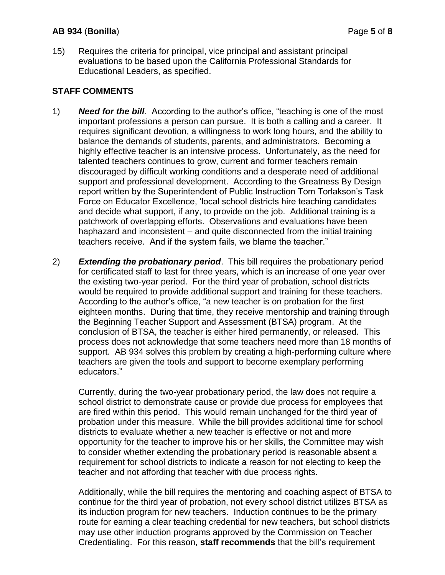### **AB 934** (**Bonilla**) Page **5** of **8**

15) Requires the criteria for principal, vice principal and assistant principal evaluations to be based upon the California Professional Standards for Educational Leaders, as specified.

# **STAFF COMMENTS**

- 1) *Need for the bill*. According to the author's office, "teaching is one of the most important professions a person can pursue. It is both a calling and a career. It requires significant devotion, a willingness to work long hours, and the ability to balance the demands of students, parents, and administrators. Becoming a highly effective teacher is an intensive process. Unfortunately, as the need for talented teachers continues to grow, current and former teachers remain discouraged by difficult working conditions and a desperate need of additional support and professional development. According to the Greatness By Design report written by the Superintendent of Public Instruction Tom Torlakson's Task Force on Educator Excellence, 'local school districts hire teaching candidates and decide what support, if any, to provide on the job. Additional training is a patchwork of overlapping efforts. Observations and evaluations have been haphazard and inconsistent – and quite disconnected from the initial training teachers receive. And if the system fails, we blame the teacher."
- 2) *Extending the probationary period*. This bill requires the probationary period for certificated staff to last for three years, which is an increase of one year over the existing two-year period. For the third year of probation, school districts would be required to provide additional support and training for these teachers. According to the author's office, "a new teacher is on probation for the first eighteen months. During that time, they receive mentorship and training through the Beginning Teacher Support and Assessment (BTSA) program. At the conclusion of BTSA, the teacher is either hired permanently, or released. This process does not acknowledge that some teachers need more than 18 months of support. AB 934 solves this problem by creating a high-performing culture where teachers are given the tools and support to become exemplary performing educators."

Currently, during the two-year probationary period, the law does not require a school district to demonstrate cause or provide due process for employees that are fired within this period. This would remain unchanged for the third year of probation under this measure. While the bill provides additional time for school districts to evaluate whether a new teacher is effective or not and more opportunity for the teacher to improve his or her skills, the Committee may wish to consider whether extending the probationary period is reasonable absent a requirement for school districts to indicate a reason for not electing to keep the teacher and not affording that teacher with due process rights.

Additionally, while the bill requires the mentoring and coaching aspect of BTSA to continue for the third year of probation, not every school district utilizes BTSA as its induction program for new teachers. Induction continues to be the primary route for earning a clear teaching credential for new teachers, but school districts may use other induction programs approved by the Commission on Teacher Credentialing. For this reason, **staff recommends** that the bill's requirement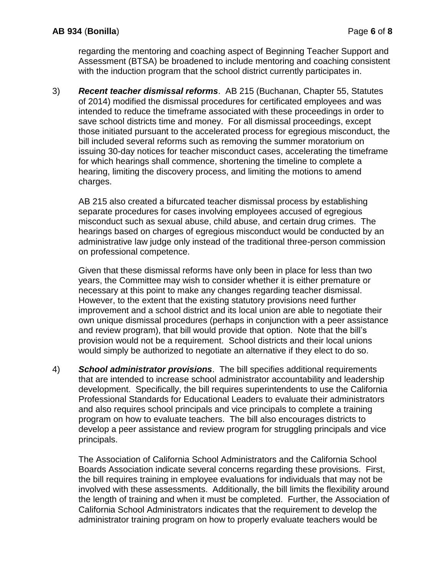regarding the mentoring and coaching aspect of Beginning Teacher Support and Assessment (BTSA) be broadened to include mentoring and coaching consistent with the induction program that the school district currently participates in.

3) *Recent teacher dismissal reforms*. AB 215 (Buchanan, Chapter 55, Statutes of 2014) modified the dismissal procedures for certificated employees and was intended to reduce the timeframe associated with these proceedings in order to save school districts time and money. For all dismissal proceedings, except those initiated pursuant to the accelerated process for egregious misconduct, the bill included several reforms such as removing the summer moratorium on issuing 30-day notices for teacher misconduct cases, accelerating the timeframe for which hearings shall commence, shortening the timeline to complete a hearing, limiting the discovery process, and limiting the motions to amend charges.

AB 215 also created a bifurcated teacher dismissal process by establishing separate procedures for cases involving employees accused of egregious misconduct such as sexual abuse, child abuse, and certain drug crimes. The hearings based on charges of egregious misconduct would be conducted by an administrative law judge only instead of the traditional three-person commission on professional competence.

Given that these dismissal reforms have only been in place for less than two years, the Committee may wish to consider whether it is either premature or necessary at this point to make any changes regarding teacher dismissal. However, to the extent that the existing statutory provisions need further improvement and a school district and its local union are able to negotiate their own unique dismissal procedures (perhaps in conjunction with a peer assistance and review program), that bill would provide that option. Note that the bill's provision would not be a requirement. School districts and their local unions would simply be authorized to negotiate an alternative if they elect to do so.

4) *School administrator provisions*. The bill specifies additional requirements that are intended to increase school administrator accountability and leadership development. Specifically, the bill requires superintendents to use the California Professional Standards for Educational Leaders to evaluate their administrators and also requires school principals and vice principals to complete a training program on how to evaluate teachers. The bill also encourages districts to develop a peer assistance and review program for struggling principals and vice principals.

The Association of California School Administrators and the California School Boards Association indicate several concerns regarding these provisions. First, the bill requires training in employee evaluations for individuals that may not be involved with these assessments. Additionally, the bill limits the flexibility around the length of training and when it must be completed. Further, the Association of California School Administrators indicates that the requirement to develop the administrator training program on how to properly evaluate teachers would be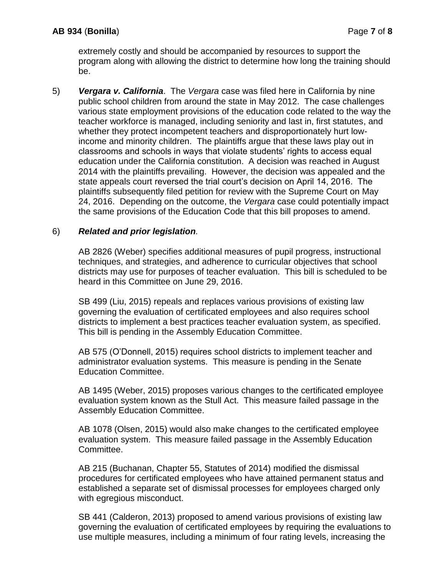extremely costly and should be accompanied by resources to support the program along with allowing the district to determine how long the training should be.

5) *Vergara v. California*. The *Vergara* case was filed here in California by nine public school children from around the state in May 2012. The case challenges various state employment provisions of the education code related to the way the teacher workforce is managed, including seniority and last in, first statutes, and whether they protect incompetent teachers and disproportionately hurt lowincome and minority children. The plaintiffs argue that these laws play out in classrooms and schools in ways that violate students' rights to access equal education under the California constitution. A decision was reached in August 2014 with the plaintiffs prevailing. However, the decision was appealed and the state appeals court reversed the trial court's decision on April 14, 2016. The plaintiffs subsequently filed petition for review with the Supreme Court on May 24, 2016. Depending on the outcome, the *Vergara* case could potentially impact the same provisions of the Education Code that this bill proposes to amend.

## 6) *Related and prior legislation.*

AB 2826 (Weber) specifies additional measures of pupil progress, instructional techniques, and strategies, and adherence to curricular objectives that school districts may use for purposes of teacher evaluation. This bill is scheduled to be heard in this Committee on June 29, 2016.

SB 499 (Liu, 2015) repeals and replaces various provisions of existing law governing the evaluation of certificated employees and also requires school districts to implement a best practices teacher evaluation system, as specified. This bill is pending in the Assembly Education Committee.

AB 575 (O'Donnell, 2015) requires school districts to implement teacher and administrator evaluation systems. This measure is pending in the Senate Education Committee.

AB 1495 (Weber, 2015) proposes various changes to the certificated employee evaluation system known as the Stull Act. This measure failed passage in the Assembly Education Committee.

AB 1078 (Olsen, 2015) would also make changes to the certificated employee evaluation system. This measure failed passage in the Assembly Education Committee.

AB 215 (Buchanan, Chapter 55, Statutes of 2014) modified the dismissal procedures for certificated employees who have attained permanent status and established a separate set of dismissal processes for employees charged only with egregious misconduct.

SB 441 (Calderon, 2013) proposed to amend various provisions of existing law governing the evaluation of certificated employees by requiring the evaluations to use multiple measures, including a minimum of four rating levels, increasing the